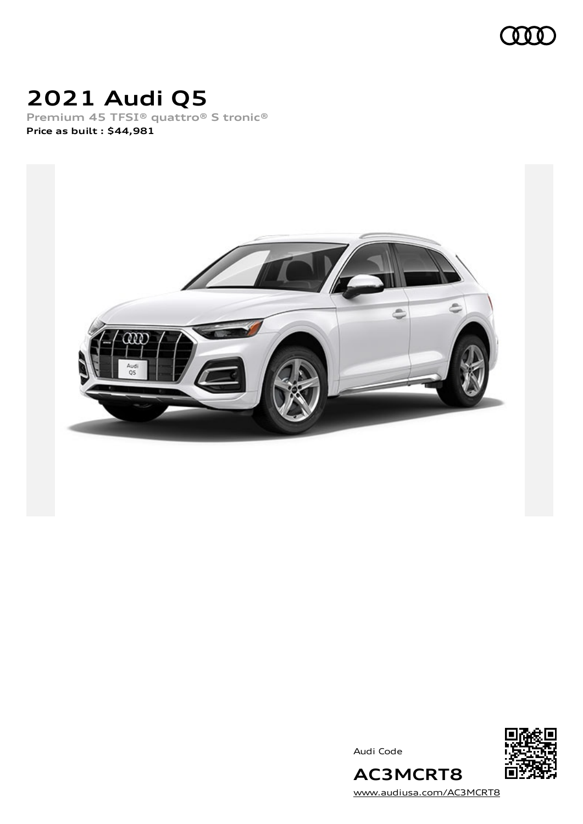

# **2021 Audi Q5**

**Premium 45 TFSI® quattro® S tronic® Price as built [:](#page-9-0) \$44,981**



Audi Code



[www.audiusa.com/AC3MCRT8](https://www.audiusa.com/AC3MCRT8)

**AC3MCRT8**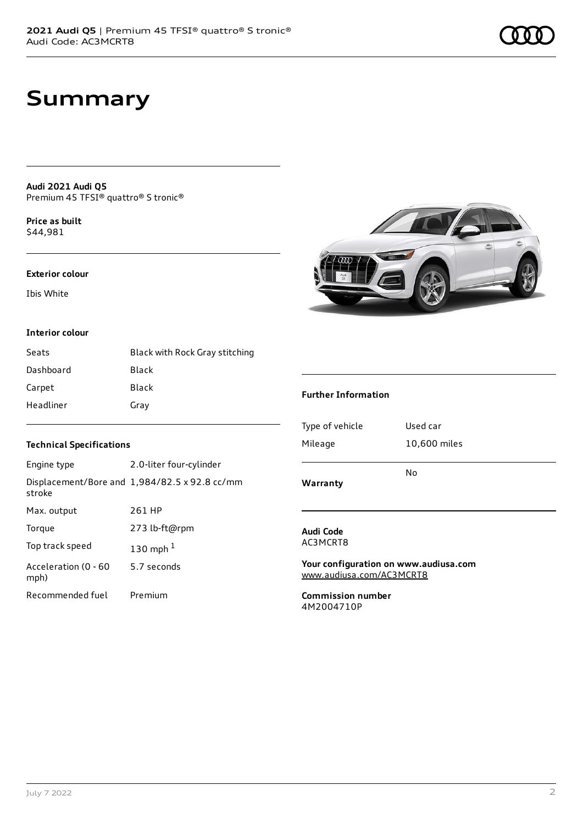# **Summary**

**Audi 2021 Audi Q5** Premium 45 TFSI® quattro® S tronic®

**Price as buil[t](#page-9-0)** \$44,981

#### **Exterior colour**

Ibis White

#### **Interior colour**

| Seats     | Black with Rock Gray stitching |
|-----------|--------------------------------|
| Dashboard | Black                          |
| Carpet    | Black                          |
| Headliner | Gray                           |

#### **Technical Specifications**

| Engine type                  | 2.0-liter four-cylinder                              |
|------------------------------|------------------------------------------------------|
| stroke                       | Displacement/Bore and $1,984/82.5 \times 92.8$ cc/mm |
| Max. output                  | 261 HP                                               |
| Torque                       | 273 lb-ft@rpm                                        |
| Top track speed              | 130 mph $1$                                          |
| Acceleration (0 - 60<br>mph) | 5.7 seconds                                          |
| Recommended fuel             | Premium                                              |



#### **Further Information**

| Warranty        |              |
|-----------------|--------------|
|                 | No           |
| Mileage         | 10,600 miles |
| Type of vehicle | Used car     |
|                 |              |

#### **Audi Code** AC3MCRT8

**Your configuration on www.audiusa.com** [www.audiusa.com/AC3MCRT8](https://www.audiusa.com/AC3MCRT8)

**Commission number** 4M2004710P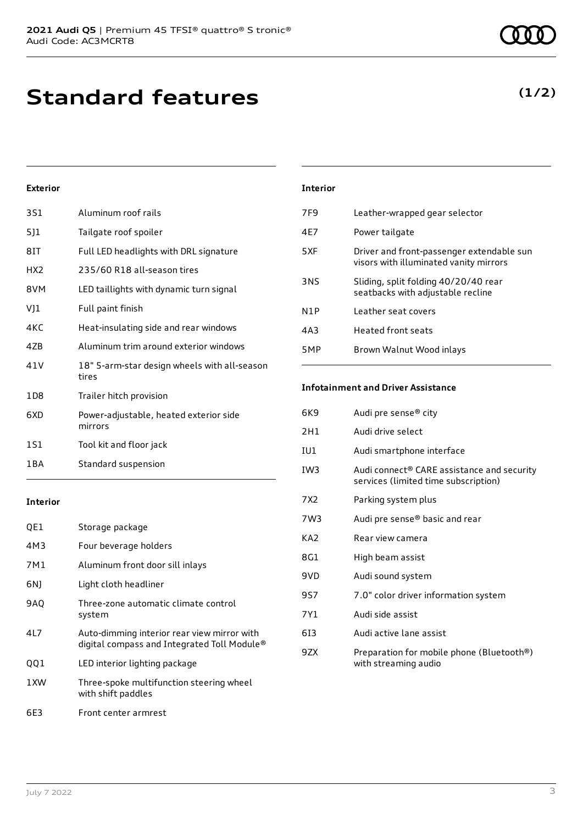# **Standard features**

#### **Exterior**

| 3S1             | Aluminum roof rails                                   |
|-----------------|-------------------------------------------------------|
| 5]1             | Tailgate roof spoiler                                 |
| 8IT             | Full LED headlights with DRL signature                |
| HX <sub>2</sub> | 235/60 R18 all-season tires                           |
| 8VM             | LED taillights with dynamic turn signal               |
| VJ1             | Full paint finish                                     |
| 4KC             | Heat-insulating side and rear windows                 |
| 47B             | Aluminum trim around exterior windows                 |
| 41 V            | 18" 5-arm-star design wheels with all-season<br>tires |
| 1D8             | Trailer hitch provision                               |
| 6XD             | Power-adjustable, heated exterior side<br>mirrors     |
| 1S1             | Tool kit and floor jack                               |
| 1 B A           | Standard suspension                                   |

#### **Interior**

| QE1        | Storage package                                                                            |
|------------|--------------------------------------------------------------------------------------------|
| 4M3        | Four beverage holders                                                                      |
| 7M1        | Aluminum front door sill inlays                                                            |
| 6N)        | Light cloth headliner                                                                      |
| <b>9AO</b> | Three-zone automatic climate control<br>system                                             |
| 4L7        | Auto-dimming interior rear view mirror with<br>digital compass and Integrated Toll Module® |
| QQ1        | LED interior lighting package                                                              |
| 1XW        | Three-spoke multifunction steering wheel<br>with shift paddles                             |
| 6E3        | Front center armrest                                                                       |

#### July 7 2022 3

| Interior |                                                                                     |
|----------|-------------------------------------------------------------------------------------|
| 7F9      | Leather-wrapped gear selector                                                       |
| 4F7      | Power tailgate                                                                      |
| 5XF      | Driver and front-passenger extendable sun<br>visors with illuminated vanity mirrors |
| 3NS      | Sliding, split folding 40/20/40 rear<br>seatbacks with adjustable recline           |
| N1P      | Leather seat covers                                                                 |
| 4A3      | <b>Heated front seats</b>                                                           |
| 5MP      | Brown Walnut Wood inlays                                                            |
|          |                                                                                     |

#### **Infotainment and Driver Assistance**

| 6K9 | Audi pre sense® city                                                                           |
|-----|------------------------------------------------------------------------------------------------|
| 2H1 | Audi drive select                                                                              |
| IU1 | Audi smartphone interface                                                                      |
| IW3 | Audi connect <sup>®</sup> CARE assistance and security<br>services (limited time subscription) |
| 7X2 | Parking system plus                                                                            |
| 7W3 | Audi pre sense® basic and rear                                                                 |
| KA2 | Rear view camera                                                                               |
| 8G1 | High beam assist                                                                               |
| 9VD | Audi sound system                                                                              |
| 9S7 | 7.0" color driver information system                                                           |
| 7Y1 | Audi side assist                                                                               |
| 613 | Audi active lane assist                                                                        |
| 9ZX | Preparation for mobile phone (Bluetooth®)<br>with streaming audio                              |

### **(1/2)**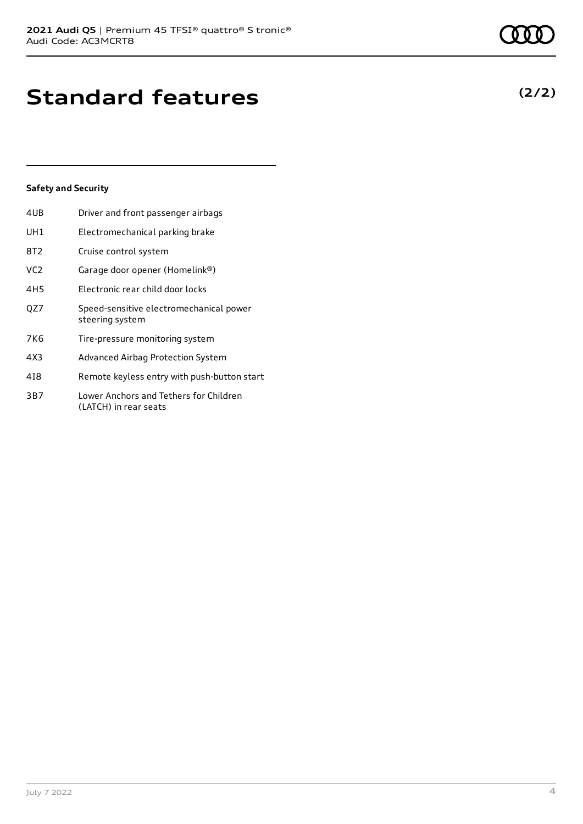# **Standard features**

#### **Safety and Security**

| 4UB             | Driver and front passenger airbags                              |
|-----------------|-----------------------------------------------------------------|
| UH1             | Electromechanical parking brake                                 |
| 8T2             | Cruise control system                                           |
| VC <sub>2</sub> | Garage door opener (Homelink®)                                  |
| 4H <sub>5</sub> | Electronic rear child door locks                                |
| QZ7             | Speed-sensitive electromechanical power<br>steering system      |
| 7K6             | Tire-pressure monitoring system                                 |
| 4X3             | Advanced Airbag Protection System                               |
| 418             | Remote keyless entry with push-button start                     |
| 3B7             | Lower Anchors and Tethers for Children<br>(LATCH) in rear seats |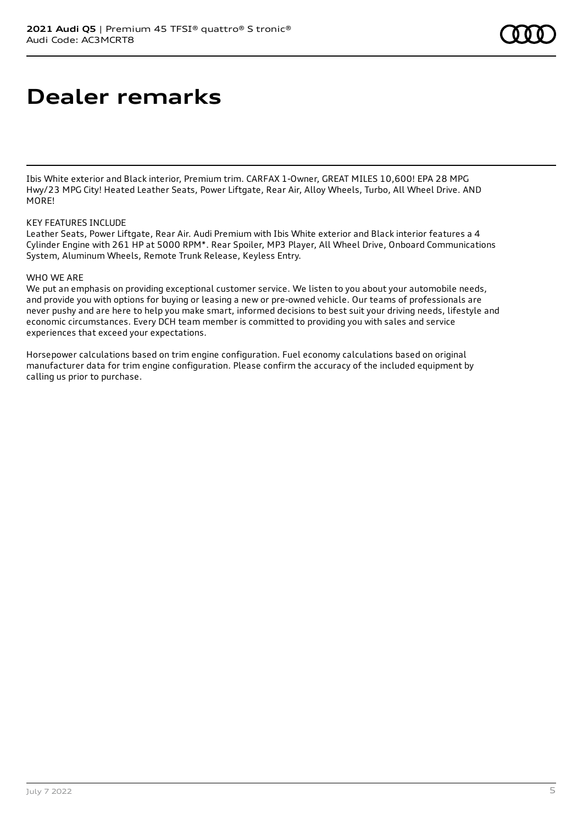# **Dealer remarks**

Ibis White exterior and Black interior, Premium trim. CARFAX 1-Owner, GREAT MILES 10,600! EPA 28 MPG Hwy/23 MPG City! Heated Leather Seats, Power Liftgate, Rear Air, Alloy Wheels, Turbo, All Wheel Drive. AND MORE!

#### KEY FEATURES INCLUDE

Leather Seats, Power Liftgate, Rear Air. Audi Premium with Ibis White exterior and Black interior features a 4 Cylinder Engine with 261 HP at 5000 RPM\*. Rear Spoiler, MP3 Player, All Wheel Drive, Onboard Communications System, Aluminum Wheels, Remote Trunk Release, Keyless Entry.

#### WHO WE ARE

We put an emphasis on providing exceptional customer service. We listen to you about your automobile needs, and provide you with options for buying or leasing a new or pre-owned vehicle. Our teams of professionals are never pushy and are here to help you make smart, informed decisions to best suit your driving needs, lifestyle and economic circumstances. Every DCH team member is committed to providing you with sales and service experiences that exceed your expectations.

Horsepower calculations based on trim engine configuration. Fuel economy calculations based on original manufacturer data for trim engine configuration. Please confirm the accuracy of the included equipment by calling us prior to purchase.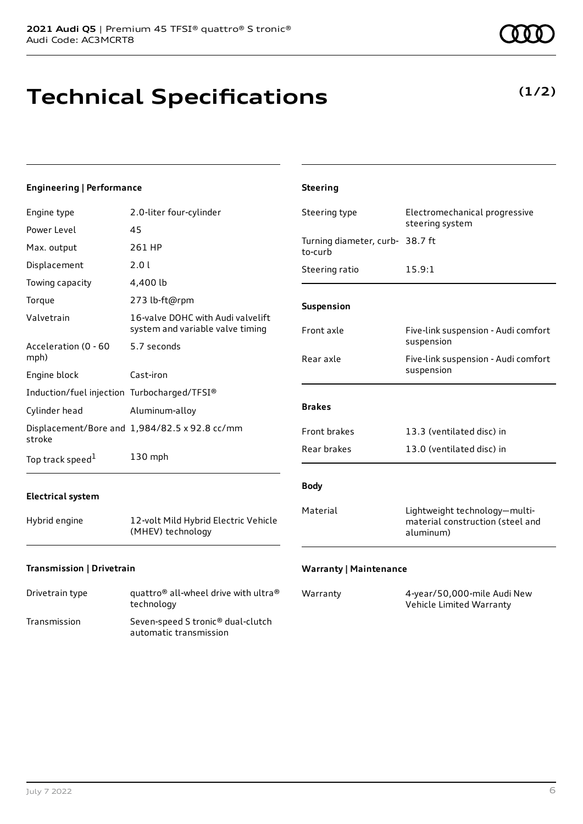# **Technical Specifications**

**(1/2)**

| <b>Engineering   Performance</b>            |                                                                       | <b>Steering</b>                            |                                                                                |
|---------------------------------------------|-----------------------------------------------------------------------|--------------------------------------------|--------------------------------------------------------------------------------|
| Engine type                                 | 2.0-liter four-cylinder                                               | Steering type                              | Electromechanical progressive                                                  |
| Power Level                                 | 45                                                                    |                                            | steering system                                                                |
| Max. output                                 | 261 HP                                                                | Turning diameter, curb- 38.7 ft<br>to-curb |                                                                                |
| Displacement                                | 2.0 l                                                                 | Steering ratio                             | 15.9:1                                                                         |
| Towing capacity                             | 4,400 lb                                                              |                                            |                                                                                |
| Torque                                      | 273 lb-ft@rpm                                                         | Suspension                                 |                                                                                |
| Valvetrain                                  | 16-valve DOHC with Audi valvelift<br>system and variable valve timing | Front axle                                 | Five-link suspension - Audi comfort                                            |
| Acceleration (0 - 60                        | 5.7 seconds                                                           |                                            | suspension                                                                     |
| mph)                                        |                                                                       | Rear axle                                  | Five-link suspension - Audi comfort<br>suspension                              |
| Engine block                                | Cast-iron                                                             |                                            |                                                                                |
| Induction/fuel injection Turbocharged/TFSI® |                                                                       |                                            |                                                                                |
| Cylinder head                               | Aluminum-alloy                                                        | <b>Brakes</b>                              |                                                                                |
| stroke                                      | Displacement/Bore and 1,984/82.5 x 92.8 cc/mm                         | Front brakes                               | 13.3 (ventilated disc) in                                                      |
| Top track speed <sup>1</sup>                | 130 mph                                                               | Rear brakes                                | 13.0 (ventilated disc) in                                                      |
| <b>Electrical system</b>                    |                                                                       | <b>Body</b>                                |                                                                                |
| Hybrid engine                               | 12-volt Mild Hybrid Electric Vehicle<br>(MHEV) technology             | Material                                   | Lightweight technology-multi-<br>material construction (steel and<br>aluminum) |
| Transmission   Drivetrain                   |                                                                       | <b>Warranty   Maintenance</b>              |                                                                                |

| Drivetrain type | quattro <sup>®</sup> all-wheel drive with ultra <sup>®</sup><br>technology |
|-----------------|----------------------------------------------------------------------------|
| Transmission    | Seven-speed S tronic <sup>®</sup> dual-clutch<br>automatic transmission    |

| Warranty | 4-year/50,000-mile Audi New |
|----------|-----------------------------|
|          | Vehicle Limited Warranty    |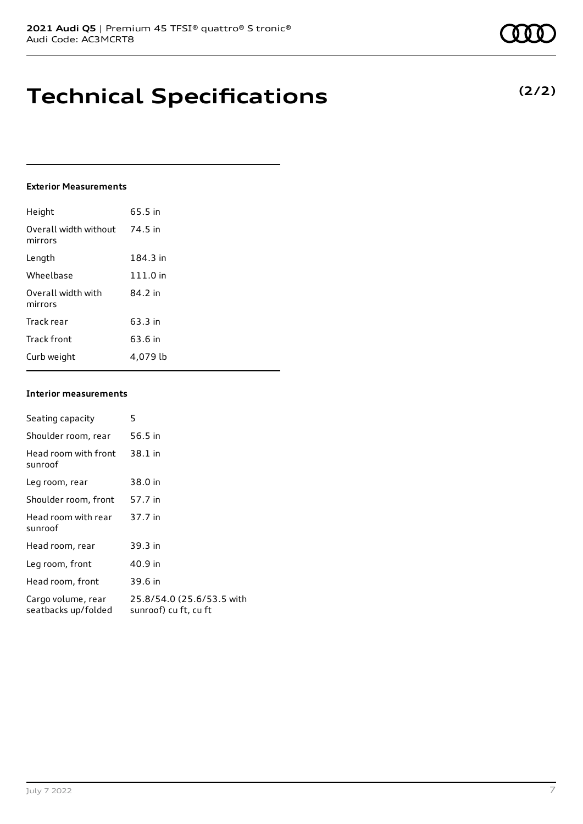# **Technical Specifications**

#### **Exterior Measurements**

| Height                           | 65.5 in  |
|----------------------------------|----------|
| Overall width without<br>mirrors | 74.5 in  |
| Length                           | 184.3 in |
| Wheelbase                        | 111.0 in |
| Overall width with<br>mirrors    | 84.2 in  |
| Track rear                       | 63.3 in  |
| <b>Track front</b>               | 63.6 in  |
| Curb weight                      | 4.079 lb |

#### **Interior measurements**

| Seating capacity                          | 5                                                  |
|-------------------------------------------|----------------------------------------------------|
| Shoulder room, rear                       | 56.5 in                                            |
| Head room with front<br>sunroof           | 38.1 in                                            |
| Leg room, rear                            | 38.0 in                                            |
| Shoulder room, front                      | 57.7 in                                            |
| Head room with rear<br>sunroof            | 37.7 in                                            |
| Head room, rear                           | 39.3 in                                            |
| Leg room, front                           | 40.9 in                                            |
| Head room, front                          | 39.6 in                                            |
| Cargo volume, rear<br>seatbacks up/folded | 25.8/54.0 (25.6/53.5 with<br>sunroof) cu ft, cu ft |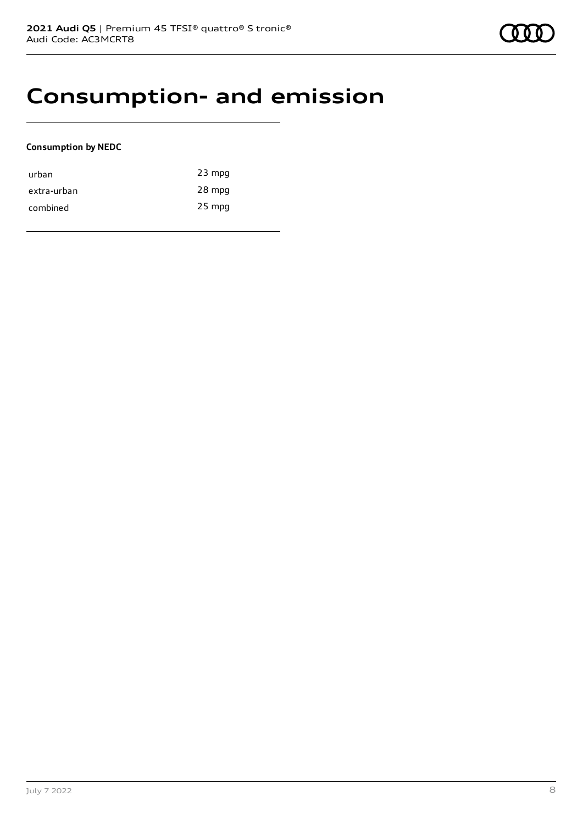### **Consumption- and emission**

#### **Consumption by NEDC**

| urban       | $23$ mpg |
|-------------|----------|
| extra-urban | 28 mpg   |
| combined    | $25$ mpg |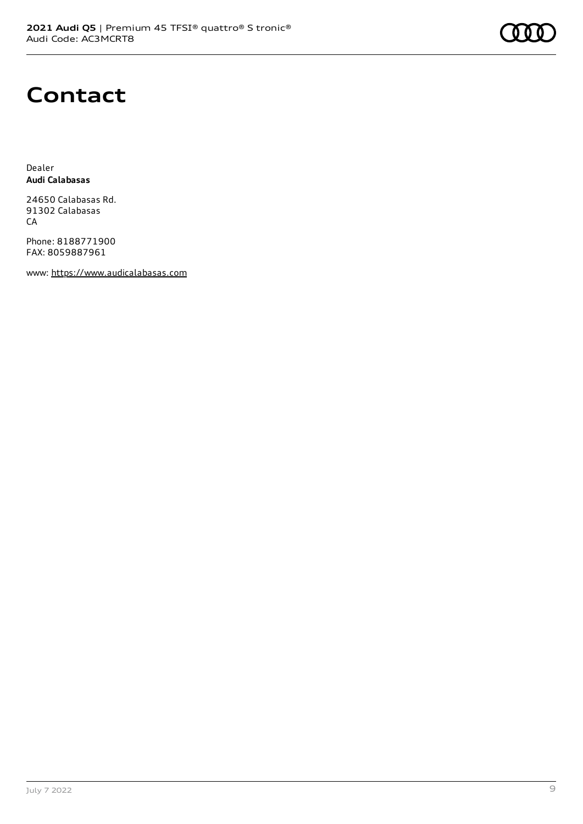

### **Contact**

Dealer **Audi Calabasas**

24650 Calabasas Rd. 91302 Calabasas CA

Phone: 8188771900 FAX: 8059887961

www: [https://www.audicalabasas.com](https://www.audicalabasas.com/)